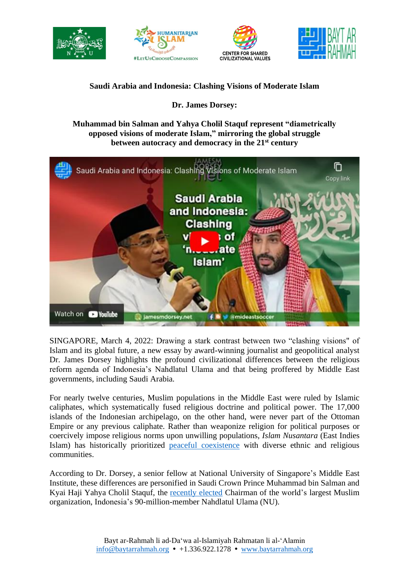







## **Saudi Arabia and Indonesia: Clashing Visions of Moderate Islam**

**Dr. James Dorsey:**

## **Muhammad bin Salman and Yahya Cholil Staquf represent "diametrically opposed visions of moderate Islam," mirroring the global struggle between autocracy and democracy in the 21st century**



SINGAPORE, March 4, 2022: Drawing a stark contrast between two "clashing visions" of Islam and its global future, a new essay by award-winning journalist and geopolitical analyst Dr. James Dorsey highlights the profound civilizational differences between the religious reform agenda of Indonesia's Nahdlatul Ulama and that being proffered by Middle East governments, including Saudi Arabia.

For nearly twelve centuries, Muslim populations in the Middle East were ruled by Islamic caliphates, which systematically fused religious doctrine and political power. The 17,000 islands of the Indonesian archipelago, on the other hand, were never part of the Ottoman Empire or any previous caliphate. Rather than weaponize religion for political purposes or coercively impose religious norms upon unwilling populations, *Islam Nusantara* (East Indies Islam) has historically prioritized peaceful [coexistence](https://www.baytarrahmah.org/media/2015/Strategic-Review_How-Islam-learned-to-adapt-in-Nusantara_Apr-Jun-2015.pdf) with diverse ethnic and religious communities.

According to Dr. Dorsey, a senior fellow at National University of Singapore's Middle East Institute, these differences are personified in Saudi Crown Prince Muhammad bin Salman and Kyai Haji Yahya Cholil Staquf, the [recently](https://baytarrahmah.org/2021_12_24_humanitarian-islam-co-founder-elected-general-chairman-of-nahdlatul-ulama/) elected Chairman of the world's largest Muslim organization, Indonesia's 90-million-member Nahdlatul Ulama (NU).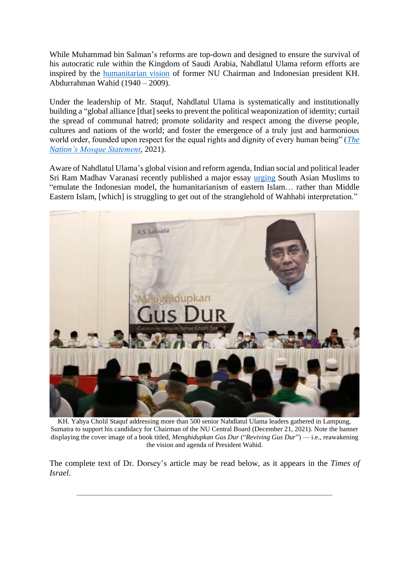While Muhammad bin Salman's reforms are top-down and designed to ensure the survival of his autocratic rule within the Kingdom of Saudi Arabia, Nahdlatul Ulama reform efforts are inspired by the [humanitarian vision](https://baytarrahmah.org/2022_02_23_kompas_nahdlatul-ulamas-civilizational-mission/) of former NU Chairman and Indonesian president KH. Abdurrahman Wahid (1940 – 2009).

Under the leadership of Mr. Staquf, Nahdlatul Ulama is systematically and institutionally building a "global alliance [that] seeks to prevent the political weaponization of identity; curtail the spread of communal hatred; promote solidarity and respect among the diverse people, cultures and nations of the world; and foster the emergence of a truly just and harmonious world order, founded upon respect for the equal rights and dignity of every human being" (*[The](https://www.baytarrahmah.org/media/2021/The-Nation)  [Nation's Mosque Statement](https://www.baytarrahmah.org/media/2021/The-Nation)*, 2021).

Aware of Nahdlatul Ulama's global vision and reform agenda, Indian social and political leader Sri Ram Madhav Varanasi recently published a major essay [urging](https://baytarrahmah.org/2022_02_18_leading-hindu-nationalist-endorses-humanitarian-islam/) South Asian Muslims to "emulate the Indonesian model, the humanitarianism of eastern Islam… rather than Middle Eastern Islam, [which] is struggling to get out of the stranglehold of Wahhabi interpretation."



KH. Yahya Cholil Staquf addressing more than 500 senior Nahdlatul Ulama leaders gathered in Lampung, Sumatra to support his candidacy for Chairman of the NU Central Board (December 21, 2021). Note the banner displaying the cover image of a book titled, *Menghidupkan Gus Dur* ("*Reviving Gus Dur*") — i.e., reawakening the vision and agenda of President Wahid.

The complete text of Dr. Dorsey's article may be read below, as it appears in the *Times of Israel*.

**\_\_\_\_\_\_\_\_\_\_\_\_\_\_\_\_\_\_\_\_\_\_\_\_\_\_\_\_\_\_\_\_\_\_\_\_\_\_\_\_\_\_\_\_\_\_\_\_\_\_\_\_\_\_\_\_\_\_\_\_\_\_**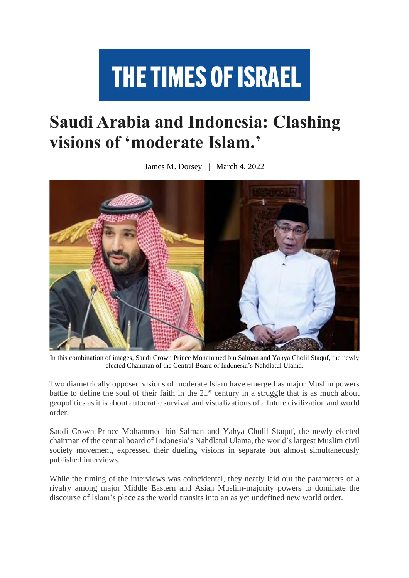## **THE TIMES OF ISRAEL**

## **Saudi Arabia and Indonesia: Clashing visions of 'moderate Islam.'**

James M. Dorsey | March 4, 2022



In this combination of images, Saudi Crown Prince Mohammed bin Salman and Yahya Cholil Staquf, the newly elected Chairman of the Central Board of Indonesia's Nahdlatul Ulama.

Two diametrically opposed visions of moderate Islam have emerged as major Muslim powers battle to define the soul of their faith in the  $21<sup>st</sup>$  century in a struggle that is as much about geopolitics as it is about autocratic survival and visualizations of a future civilization and world order.

Saudi Crown Prince Mohammed bin Salman and Yahya Cholil Staquf, the newly elected chairman of the central board of Indonesia's Nahdlatul Ulama, the world's largest Muslim civil society movement, expressed their dueling visions in separate but almost simultaneously published interviews.

While the timing of the interviews was coincidental, they neatly laid out the parameters of a rivalry among major Middle Eastern and Asian Muslim-majority powers to dominate the discourse of Islam's place as the world transits into an as yet undefined new world order.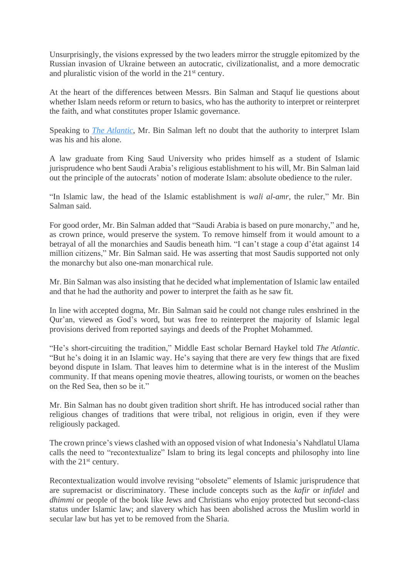Unsurprisingly, the visions expressed by the two leaders mirror the struggle epitomized by the Russian invasion of Ukraine between an autocratic, civilizationalist, and a more democratic and pluralistic vision of the world in the 21st century.

At the heart of the differences between Messrs. Bin Salman and Staquf lie questions about whether Islam needs reform or return to basics, who has the authority to interpret or reinterpret the faith, and what constitutes proper Islamic governance.

Speaking to *The [Atlantic](https://www.baytarrahmah.org/media/2022/theatlantic_absolute-power_03-03-22.pdf)*, Mr. Bin Salman left no doubt that the authority to interpret Islam was his and his alone.

A law graduate from King Saud University who prides himself as a student of Islamic jurisprudence who bent Saudi Arabia's religious establishment to his will, Mr. Bin Salman laid out the principle of the autocrats' notion of moderate Islam: absolute obedience to the ruler.

"In Islamic law, the head of the Islamic establishment is *wali al-amr*, the ruler," Mr. Bin Salman said.

For good order, Mr. Bin Salman added that "Saudi Arabia is based on pure monarchy," and he, as crown prince, would preserve the system. To remove himself from it would amount to a betrayal of all the monarchies and Saudis beneath him. "I can't stage a coup d'état against 14 million citizens," Mr. Bin Salman said. He was asserting that most Saudis supported not only the monarchy but also one-man monarchical rule.

Mr. Bin Salman was also insisting that he decided what implementation of Islamic law entailed and that he had the authority and power to interpret the faith as he saw fit.

In line with accepted dogma, Mr. Bin Salman said he could not change rules enshrined in the Qur'an, viewed as God's word, but was free to reinterpret the majority of Islamic legal provisions derived from reported sayings and deeds of the Prophet Mohammed.

"He's short-circuiting the tradition," Middle East scholar Bernard Haykel told *The Atlantic*. "But he's doing it in an Islamic way. He's saying that there are very few things that are fixed beyond dispute in Islam. That leaves him to determine what is in the interest of the Muslim community. If that means opening movie theatres, allowing tourists, or women on the beaches on the Red Sea, then so be it."

Mr. Bin Salman has no doubt given tradition short shrift. He has introduced social rather than religious changes of traditions that were tribal, not religious in origin, even if they were religiously packaged.

The crown prince's views clashed with an opposed vision of what Indonesia's Nahdlatul Ulama calls the need to "recontextualize" Islam to bring its legal concepts and philosophy into line with the 21<sup>st</sup> century.

Recontextualization would involve revising "obsolete" elements of Islamic jurisprudence that are supremacist or discriminatory. These include concepts such as the *kafir* or *infidel* and *dhimmi* or people of the book like Jews and Christians who enjoy protected but second-class status under Islamic law; and slavery which has been abolished across the Muslim world in secular law but has yet to be removed from the Sharia.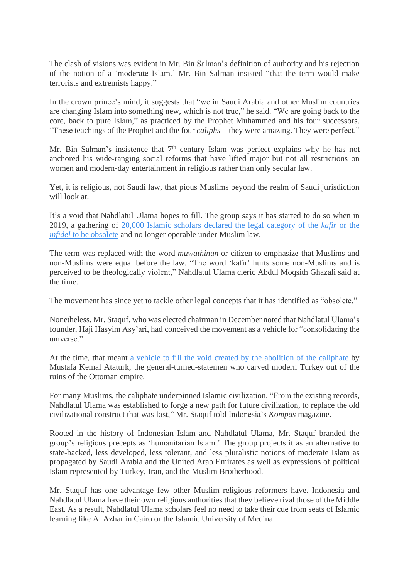The clash of visions was evident in Mr. Bin Salman's definition of authority and his rejection of the notion of a 'moderate Islam.' Mr. Bin Salman insisted "that the term would make terrorists and extremists happy."

In the crown prince's mind, it suggests that "we in Saudi Arabia and other Muslim countries are changing Islam into something new, which is not true," he said. "We are going back to the core, back to pure Islam," as practiced by the Prophet Muhammed and his four successors. "These teachings of the Prophet and the four *caliphs*—they were amazing. They were perfect."

Mr. Bin Salman's insistence that 7<sup>th</sup> century Islam was perfect explains why he has not anchored his wide-ranging social reforms that have lifted major but not all restrictions on women and modern-day entertainment in religious rather than only secular law.

Yet, it is religious, not Saudi law, that pious Muslims beyond the realm of Saudi jurisdiction will look at.

It's a void that Nahdlatul Ulama hopes to fill. The group says it has started to do so when in 2019, a gathering of 20,000 Islamic scholars declared the legal [category](https://www.baytarrahmah.org/media/2021/moderndiplomacy_defining-moderate-islam-muslims-and-evangelicals-forge-an-alliance_07-16-21.pdf) of the *kafir* or the *infidel* to be [obsolete](https://www.baytarrahmah.org/media/2021/moderndiplomacy_defining-moderate-islam-muslims-and-evangelicals-forge-an-alliance_07-16-21.pdf) and no longer operable under Muslim law.

The term was replaced with the word *muwathinun* or citizen to emphasize that Muslims and non-Muslims were equal before the law. "The word 'kafir' hurts some non-Muslims and is perceived to be theologically violent," Nahdlatul Ulama cleric Abdul Moqsith Ghazali said at the time.

The movement has since yet to tackle other legal concepts that it has identified as "obsolete."

Nonetheless, Mr. Staquf, who was elected chairman in December noted that Nahdlatul Ulama's founder, Haji Hasyim Asy'ari, had conceived the movement as a vehicle for "consolidating the universe."

At the time, that meant a vehicle to fill the void created by the abolition of the [caliphate](https://www.baytarrahmah.org/media/2022/kompas_NU-and-the-Mission-to-Realize-a-Universal-Humanism_02-23-22.pdf) by Mustafa Kemal Ataturk, the general-turned-statemen who carved modern Turkey out of the ruins of the Ottoman empire.

For many Muslims, the caliphate underpinned Islamic civilization. "From the existing records, Nahdlatul Ulama was established to forge a new path for future civilization, to replace the old civilizational construct that was lost," Mr. Staquf told Indonesia's *Kompas* magazine.

Rooted in the history of Indonesian Islam and Nahdlatul Ulama, Mr. Staquf branded the group's religious precepts as 'humanitarian Islam.' The group projects it as an alternative to state-backed, less developed, less tolerant, and less pluralistic notions of moderate Islam as propagated by Saudi Arabia and the United Arab Emirates as well as expressions of political Islam represented by Turkey, Iran, and the Muslim Brotherhood.

Mr. Staquf has one advantage few other Muslim religious reformers have. Indonesia and Nahdlatul Ulama have their own religious authorities that they believe rival those of the Middle East. As a result, Nahdlatul Ulama scholars feel no need to take their cue from seats of Islamic learning like Al Azhar in Cairo or the Islamic University of Medina.